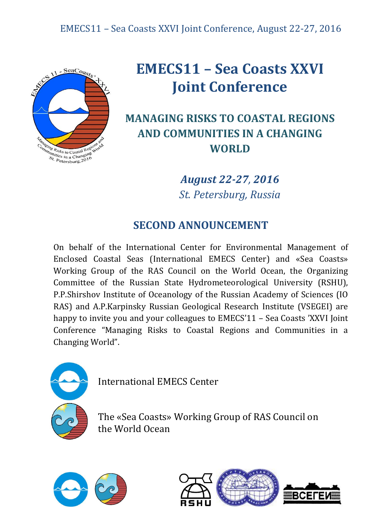

## **EMECS11 – Sea Coasts XXVI Joint Conference**

## **MANAGING RISKS TO COASTAL REGIONS AND COMMUNITIES IN A CHANGING WORLD**

*August 22-27, 2016 St. Petersburg, Russia*

## **SECOND ANNOUNCEMENT**

On behalf of the International Center for Environmental Management of Enclosed Coastal Seas (International EMECS Center) and «Sea Coasts» Working Group of the RAS Council on the World Ocean, the Organizing Committee of the Russian State Hydrometeorological University (RSHU), P.P.Shirshov Institute of Oceanology of the Russian Academy of Sciences (IO RAS) and A.P.Karpinsky Russian Geological Research Institute (VSEGEI) are happy to invite you and your colleagues to EMECS'11 – Sea Coasts 'XXVI Joint Conference "Managing Risks to Coastal Regions and Communities in a Changing World".



International EMECS Center

The «Sea Coasts» Working Group of RAS Council on the World Ocean



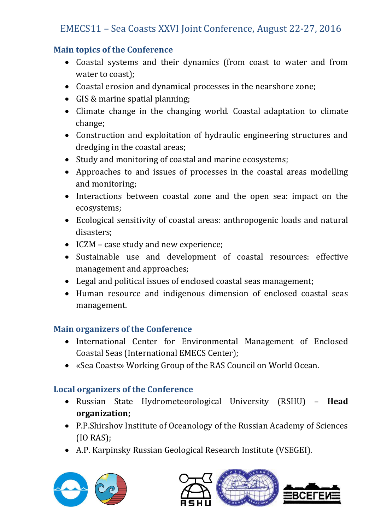#### **Main topics of the Conference**

- Coastal systems and their dynamics (from coast to water and from water to coast);
- Coastal erosion and dynamical processes in the nearshore zone;
- GIS & marine spatial planning;
- Climate change in the changing world. Coastal adaptation to climate change;
- Construction and exploitation of hydraulic engineering structures and dredging in the coastal areas;
- Study and monitoring of coastal and marine ecosystems;
- Approaches to and issues of processes in the coastal areas modelling and monitoring;
- Interactions between coastal zone and the open sea: impact on the ecosystems;
- Ecological sensitivity of coastal areas: anthropogenic loads and natural disasters;
- ICZM case study and new experience;
- Sustainable use and development of coastal resources: effective management and approaches;
- Legal and political issues of enclosed coastal seas management;
- Human resource and indigenous dimension of enclosed coastal seas management.

#### **Main organizers of the Conference**

- International Center for Environmental Management of Enclosed Coastal Seas (International EMECS Center);
- «Sea Coasts» Working Group of the RAS Council on World Ocean.

#### **Local organizers of the Conference**

- Russian State Hydrometeorological University (RSHU) **Head organization;**
- P.P.Shirshov Institute of Oceanology of the Russian Academy of Sciences (IO RAS);
- A.P. Karpinsky Russian Geological Research Institute (VSEGEI).



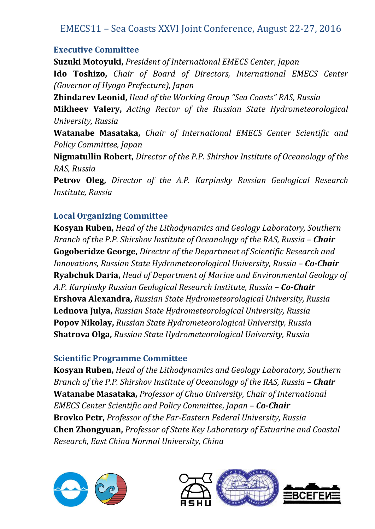#### **Executive Committee**

**Suzuki Motoyuki,** *President of International EMECS Center, Japan* **Ido Toshizo,** *Chair of Board of Directors, International EMECS Center (Governor of Hyogo Prefecture), Japan* **Zhindarev Leonid,** *Head of the Working Group "Sea Coasts" RAS, Russia* **Mikheev Valery,** *Acting Rector of the Russian State Hydrometeorological University, Russia* **Watanabe Masataka,** *Chair of International EMECS Center Scientific and Policy Committee, Japan* **Nigmatullin Robert,** *Director of the P.P. Shirshov Institute of Oceanology of the RAS, Russia* **Petrov Oleg,** *Director of the A.P. Karpinsky Russian Geological Research Institute, Russia*

#### **Local Organizing Committee**

**Kosyan Ruben,** *Head of the Lithodynamics and Geology Laboratory, Southern Branch of the P.P. Shirshov Institute of Oceanology of the RAS, Russia – Chair* **Gogoberidze George,** *Director of the Department of Scientific Research and Innovations, Russian State Hydrometeorological University, Russia – Co-Chair* **Ryabchuk Daria,** *Head of Department of Marine and Environmental Geology of A.P. Karpinsky Russian Geological Research Institute, Russia – Co-Chair* **Ershova Alexandra,** *Russian State Hydrometeorological University, Russia* **Lednova Julya,** *Russian State Hydrometeorological University, Russia* **Popov Nikolay,** *Russian State Hydrometeorological University, Russia* **Shatrova Olga,** *Russian State Hydrometeorological University, Russia*

#### **Scientific Programme Committee**

**Kosyan Ruben,** *Head of the Lithodynamics and Geology Laboratory, Southern Branch of the P.P. Shirshov Institute of Oceanology of the RAS, Russia – Chair* **Watanabe Masataka,** *Professor of Chuo University, Chair of International EMECS Center Scientific and Policy Committee, Japan – Co-Chair* **Brovko Petr,** *Professor of the Far-Eastern Federal University, Russia* **Chen Zhongyuan,** *Professor of State Key Laboratory of Estuarine and Coastal Research, East China Normal University, China*



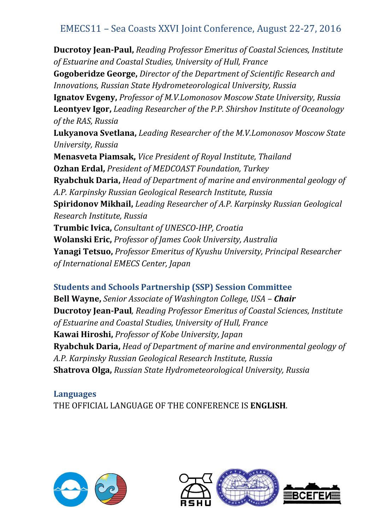**Ducrotoy Jean-Paul,** *Reading Professor Emeritus of Coastal Sciences, Institute of Estuarine and Coastal Studies, University of Hull, France* **Gogoberidze George,** *Director of the Department of Scientific Research and Innovations, Russian State Hydrometeorological University, Russia* **Ignatov Evgeny,** *Professor of M.V.Lomonosov Moscow State University, Russia* **Leontyev Igor,** *Leading Researcher of the P.P. Shirshov Institute of Oceanology of the RAS, Russia* **Lukyanova Svetlana,** *Leading Researcher of the M.V.Lomonosov Moscow State University, Russia* **Menasveta Piamsak,** *Vice President of Royal Institute, Thailand* **Ozhan Erdal,** *President of MEDCOAST Foundation, Turkey* **Ryabchuk Daria,** *Head of Department of marine and environmental geology of A.P. Karpinsky Russian Geological Research Institute, Russia* **Spiridonov Mikhail,** *Leading Researcher of A.P. Karpinsky Russian Geological Research Institute, Russia* **Trumbic Ivica,** *Consultant of UNESCO-IHP, Croatia* **Wolanski Eric,** *Professor of James Cook University, Australia* **Yanagi Tetsuo,** *Professor Emeritus of Kyushu University, Principal Researcher of International EMECS Center, Japan*

#### **Students and Schools Partnership (SSP) Session Committee**

**Bell Wayne,** *Senior Associate of Washington College, USA – Chair* **Ducrotoy Jean-Paul***, Reading Professor Emeritus of Coastal Sciences, Institute of Estuarine and Coastal Studies, University of Hull, France* **Kawai Hiroshi,** *Professor of Kobe University, Japan* **Ryabchuk Daria,** *Head of Department of marine and environmental geology of A.P. Karpinsky Russian Geological Research Institute, Russia* **Shatrova Olga,** *Russian State Hydrometeorological University, Russia*

#### **Languages** THE OFFICIAL LANGUAGE OF THE CONFERENCE IS **ENGLISH**.



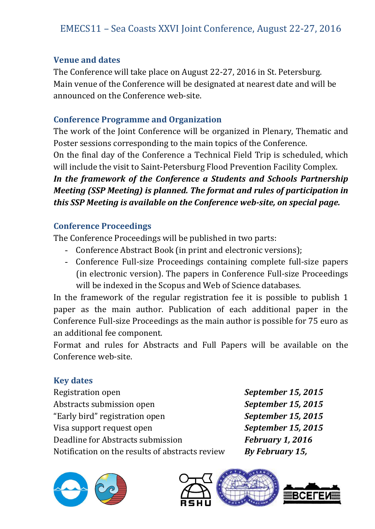#### **Venue and dates**

The Conference will take place on August 22-27, 2016 in St. Petersburg. Main venue of the Conference will be designated at nearest date and will be announced on the Conference web-site.

#### **Conference Programme and Organization**

The work of the Joint Conference will be organized in Plenary, Thematic and Poster sessions corresponding to the main topics of the Conference.

On the final day of the Conference a Technical Field Trip is scheduled, which will include the visit to Saint-Petersburg Flood Prevention Facility Complex.

*In the framework of the Conference a Students and Schools Partnership Meeting (SSP Meeting) is planned. The format and rules of participation in this SSP Meeting is available on the Conference web-site, on special page.*

#### **Conference Proceedings**

The Conference Proceedings will be published in two parts:

- Conference Abstract Book (in print and electronic versions);
- Conference Full-size Proceedings containing complete full-size papers (in electronic version). The papers in Conference Full-size Proceedings will be indexed in the Scopus and Web of Science databases.

In the framework of the regular registration fee it is possible to publish 1 paper as the main author. Publication of each additional paper in the Conference Full-size Proceedings as the main author is possible for 75 euro as an additional fee component.

Format and rules for Abstracts and Full Papers will be available on the Conference web-site.

#### **Key dates**

Registration open *September 15, 2015* Abstracts submission open *September 15, 2015* "Early bird" registration open *September 15, 2015* Visa support request open *September 15, 2015* Deadline for Abstracts submission *February 1, 2016* Notification on the results of abstracts review *By February 15,* 





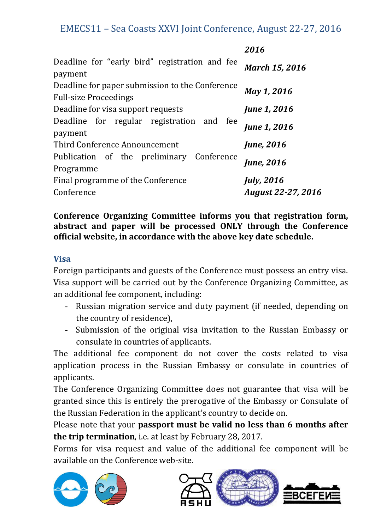|                                                                                 | 2016                                            |
|---------------------------------------------------------------------------------|-------------------------------------------------|
| Deadline for "early bird" registration and fee<br>payment                       | <b>March 15, 2016</b>                           |
| Deadline for paper submission to the Conference<br><b>Full-size Proceedings</b> | May 1, 2016                                     |
| Deadline for visa support requests                                              | <b>June 1, 2016</b>                             |
| Deadline for regular registration and fee<br>payment                            | <b>June 1, 2016</b>                             |
| Third Conference Announcement                                                   | <b>June</b> , 2016                              |
| Publication of the preliminary Conference<br>Programme                          | <b>June</b> , 2016                              |
| Final programme of the Conference<br>Conference                                 | <b>July</b> , 2016<br><b>August 22-27, 2016</b> |

#### **Conference Organizing Committee informs you that registration form, abstract and paper will be processed ONLY through the Conference official website, in accordance with the above key date schedule.**

#### **Visa**

Foreign participants and guests of the Conference must possess an entry visa. Visa support will be carried out by the Conference Organizing Committee, as an additional fee component, including:

- Russian migration service and duty payment (if needed, depending on the country of residence),
- Submission of the original visa invitation to the Russian Embassy or consulate in countries of applicants.

The additional fee component do not cover the costs related to visa application process in the Russian Embassy or consulate in countries of applicants.

The Conference Organizing Committee does not guarantee that visa will be granted since this is entirely the prerogative of the Embassy or Consulate of the Russian Federation in the applicant's country to decide on.

Please note that your **passport must be valid no less than 6 months after the trip termination**, i.e. at least by February 28, 2017.

Forms for visa request and value of the additional fee component will be available on the Conference web-site.





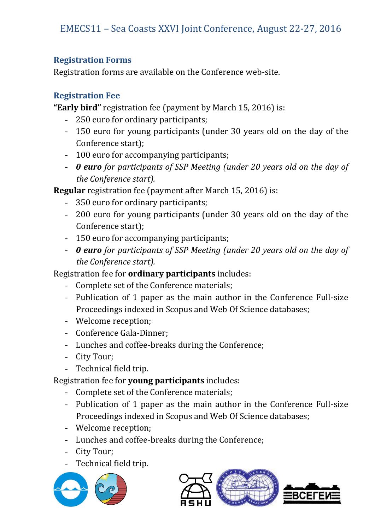#### **Registration Forms**

Registration forms are available on the Conference web-site.

#### **Registration Fee**

**"Early bird"** registration fee (payment by March 15, 2016) is:

- 250 euro for ordinary participants;
- 150 euro for young participants (under 30 years old on the day of the Conference start);
- 100 euro for accompanying participants;
- *0 euro for participants of SSP Meeting (under 20 years old on the day of the Conference start).*

**Regular** registration fee (payment after March 15, 2016) is:

- 350 euro for ordinary participants;
- 200 euro for young participants (under 30 years old on the day of the Conference start);
- 150 euro for accompanying participants;
- *0 euro for participants of SSP Meeting (under 20 years old on the day of the Conference start).*

Registration fee for **ordinary participants** includes:

- Complete set of the Conference materials;
- Publication of 1 paper as the main author in the Conference Full-size Proceedings indexed in Scopus and Web Of Science databases;
- Welcome reception;
- Conference Gala-Dinner;
- Lunches and coffee-breaks during the Conference;
- City Tour;
- Technical field trip.

Registration fee for **young participants** includes:

- Complete set of the Conference materials;
- Publication of 1 paper as the main author in the Conference Full-size Proceedings indexed in Scopus and Web Of Science databases;
- Welcome reception;
- Lunches and coffee-breaks during the Conference;
- City Tour;
- Technical field trip.



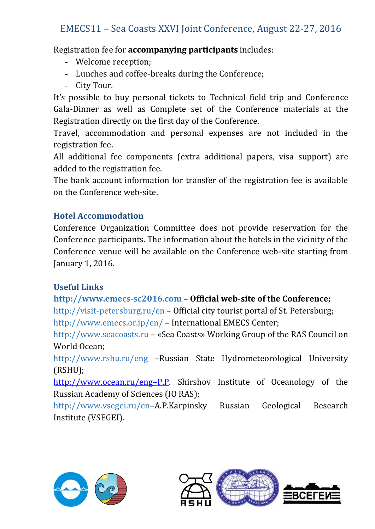Registration fee for **accompanying participants** includes:

- Welcome reception;
- Lunches and coffee-breaks during the Conference;
- City Tour.

It's possible to buy personal tickets to Technical field trip and Conference Gala-Dinner as well as Complete set of the Conference materials at the Registration directly on the first day of the Conference.

Travel, accommodation and personal expenses are not included in the registration fee.

All additional fee components (extra additional papers, visa support) are added to the registration fee.

The bank account information for transfer of the registration fee is available on the Conference web-site.

#### **Hotel Accommodation**

Conference Organization Committee does not provide reservation for the Conference participants. The information about the hotels in the vicinity of the Conference venue will be available on the Conference web-site starting from January 1, 2016.

#### **Useful Links**

#### **http://www.emecs-sc2016.com – Official web-site of the Conference;**

http://visit-petersburg.ru/en – Official city tourist portal of St. Petersburg;

http://www.emecs.or.jp/en/ – International EMECS Center;

http://www.seacoasts.ru – «Sea Coasts» Working Group of the RAS Council on World Ocean;

http://www.rshu.ru/eng –Russian State Hydrometeorological University (RSHU);

[http://www.ocean.ru/eng](http://www.ocean.ru/eng–P.P)–P.P. Shirshov Institute of Oceanology of the Russian Academy of Sciences (IO RAS);

http://www.vsegei.ru/en–A.P.Karpinsky Russian Geological Research Institute (VSEGEI).